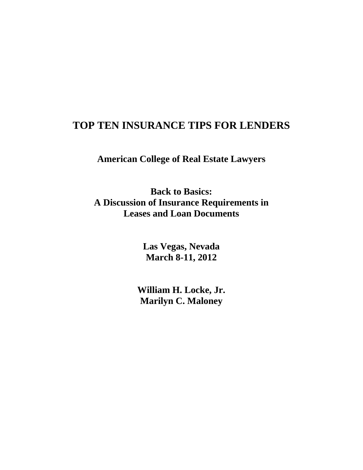# **TOP TEN INSURANCE TIPS FOR LENDERS**

**American College of Real Estate Lawyers** 

**Back to Basics: A Discussion of Insurance Requirements in Leases and Loan Documents** 

> **Las Vegas, Nevada March 8-11, 2012**

**William H. Locke, Jr. Marilyn C. Maloney**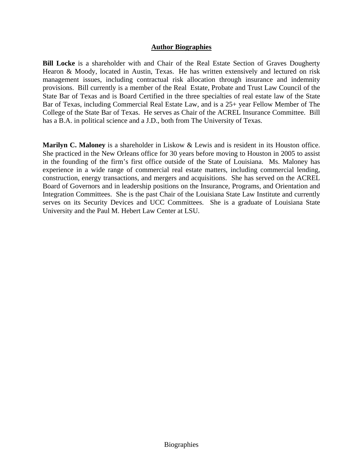#### **Author Biographies**

**Bill Locke** is a shareholder with and Chair of the Real Estate Section of Graves Dougherty Hearon & Moody, located in Austin, Texas. He has written extensively and lectured on risk management issues, including contractual risk allocation through insurance and indemnity provisions. Bill currently is a member of the Real Estate, Probate and Trust Law Council of the State Bar of Texas and is Board Certified in the three specialties of real estate law of the State Bar of Texas, including Commercial Real Estate Law, and is a 25+ year Fellow Member of The College of the State Bar of Texas. He serves as Chair of the ACREL Insurance Committee. Bill has a B.A. in political science and a J.D., both from The University of Texas.

**Marilyn C. Maloney** is a shareholder in Liskow & Lewis and is resident in its Houston office. She practiced in the New Orleans office for 30 years before moving to Houston in 2005 to assist in the founding of the firm's first office outside of the State of Louisiana. Ms. Maloney has experience in a wide range of commercial real estate matters, including commercial lending, construction, energy transactions, and mergers and acquisitions. She has served on the ACREL Board of Governors and in leadership positions on the Insurance, Programs, and Orientation and Integration Committees. She is the past Chair of the Louisiana State Law Institute and currently serves on its Security Devices and UCC Committees. She is a graduate of Louisiana State University and the Paul M. Hebert Law Center at LSU.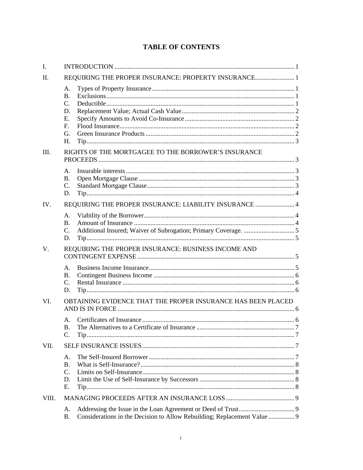# **TABLE OF CONTENTS**

| I.    |                                                                                |                                                                          |  |  |
|-------|--------------------------------------------------------------------------------|--------------------------------------------------------------------------|--|--|
| II.   |                                                                                |                                                                          |  |  |
|       | A.<br>$\mathbf{B}$ .<br>$\mathcal{C}$ .<br>D.<br>E.<br>$F_{\cdot}$<br>G.<br>H. |                                                                          |  |  |
| III.  |                                                                                | RIGHTS OF THE MORTGAGEE TO THE BORROWER'S INSURANCE                      |  |  |
|       | A.<br><b>B.</b><br>$\mathcal{C}$ .<br>D.                                       |                                                                          |  |  |
| IV.   | REQUIRING THE PROPER INSURANCE: LIABILITY INSURANCE  4                         |                                                                          |  |  |
|       | A.<br><b>B.</b><br>$\mathcal{C}$ .<br>D.                                       |                                                                          |  |  |
| V.    | REQUIRING THE PROPER INSURANCE: BUSINESS INCOME AND                            |                                                                          |  |  |
|       | $\mathsf{A}$ .<br><b>B.</b><br>$\mathcal{C}$ .<br>D.                           |                                                                          |  |  |
| VI.   | OBTAINING EVIDENCE THAT THE PROPER INSURANCE HAS BEEN PLACED                   |                                                                          |  |  |
|       | Α.<br>B.<br>C.                                                                 |                                                                          |  |  |
| VII.  |                                                                                |                                                                          |  |  |
|       | $\mathsf{A}$ .<br><b>B.</b><br>$\mathcal{C}$ .<br>D.<br>Ε.                     |                                                                          |  |  |
| VIII. |                                                                                |                                                                          |  |  |
|       | Α.<br><b>B.</b>                                                                | Considerations in the Decision to Allow Rebuilding; Replacement Value  9 |  |  |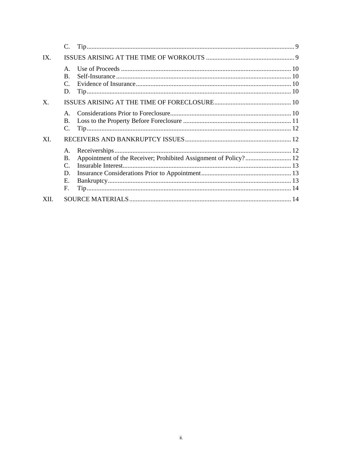|                | C.                                                             |                                                                  |
|----------------|----------------------------------------------------------------|------------------------------------------------------------------|
| $IX$ .         |                                                                |                                                                  |
|                | $\mathsf{A}$ .<br>B.<br>$\mathcal{C}$ .<br>D.                  |                                                                  |
| $\mathbf{X}$ . |                                                                |                                                                  |
|                | $\mathsf{A}$<br><b>B.</b><br>C.                                |                                                                  |
| XI.            |                                                                |                                                                  |
|                | A.<br><b>B.</b><br>$\mathcal{C}$ .<br>D.<br>$E_{\rm{L}}$<br>F. | Appointment of the Receiver; Prohibited Assignment of Policy? 12 |
| XII.           |                                                                |                                                                  |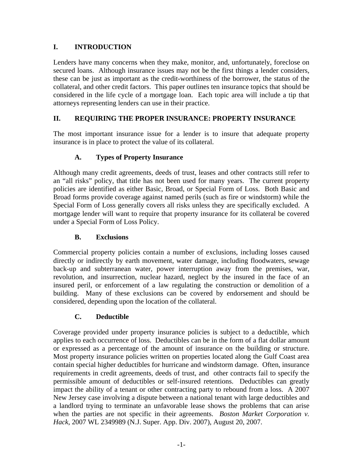### **I. INTRODUCTION**

Lenders have many concerns when they make, monitor, and, unfortunately, foreclose on secured loans. Although insurance issues may not be the first things a lender considers, these can be just as important as the credit-worthiness of the borrower, the status of the collateral, and other credit factors. This paper outlines ten insurance topics that should be considered in the life cycle of a mortgage loan. Each topic area will include a tip that attorneys representing lenders can use in their practice.

### **II. REQUIRING THE PROPER INSURANCE: PROPERTY INSURANCE**

The most important insurance issue for a lender is to insure that adequate property insurance is in place to protect the value of its collateral.

### **A. Types of Property Insurance**

Although many credit agreements, deeds of trust, leases and other contracts still refer to an "all risks" policy, that title has not been used for many years. The current property policies are identified as either Basic, Broad, or Special Form of Loss. Both Basic and Broad forms provide coverage against named perils (such as fire or windstorm) while the Special Form of Loss generally covers all risks unless they are specifically excluded. A mortgage lender will want to require that property insurance for its collateral be covered under a Special Form of Loss Policy.

### **B. Exclusions**

Commercial property policies contain a number of exclusions, including losses caused directly or indirectly by earth movement, water damage, including floodwaters, sewage back-up and subterranean water, power interruption away from the premises, war, revolution, and insurrection, nuclear hazard, neglect by the insured in the face of an insured peril, or enforcement of a law regulating the construction or demolition of a building. Many of these exclusions can be covered by endorsement and should be considered, depending upon the location of the collateral.

### **C. Deductible**

Coverage provided under property insurance policies is subject to a deductible, which applies to each occurrence of loss. Deductibles can be in the form of a flat dollar amount or expressed as a percentage of the amount of insurance on the building or structure. Most property insurance policies written on properties located along the Gulf Coast area contain special higher deductibles for hurricane and windstorm damage. Often, insurance requirements in credit agreements, deeds of trust, and other contracts fail to specify the permissible amount of deductibles or self-insured retentions. Deductibles can greatly impact the ability of a tenant or other contracting party to rebound from a loss. A 2007 New Jersey case involving a dispute between a national tenant with large deductibles and a landlord trying to terminate an unfavorable lease shows the problems that can arise when the parties are not specific in their agreements. *Boston Market Corporation v. Hack*, 2007 WL 2349989 (N.J. Super. App. Div. 2007), August 20, 2007.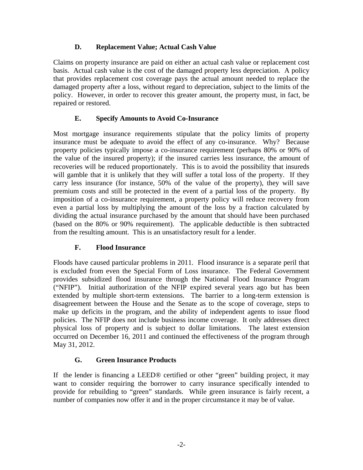### **D. Replacement Value; Actual Cash Value**

Claims on property insurance are paid on either an actual cash value or replacement cost basis. Actual cash value is the cost of the damaged property less depreciation. A policy that provides replacement cost coverage pays the actual amount needed to replace the damaged property after a loss, without regard to depreciation, subject to the limits of the policy. However, in order to recover this greater amount, the property must, in fact, be repaired or restored.

# **E. Specify Amounts to Avoid Co-Insurance**

Most mortgage insurance requirements stipulate that the policy limits of property insurance must be adequate to avoid the effect of any co-insurance. Why? Because property policies typically impose a co-insurance requirement (perhaps 80% or 90% of the value of the insured property); if the insured carries less insurance, the amount of recoveries will be reduced proportionately. This is to avoid the possibility that insureds will gamble that it is unlikely that they will suffer a total loss of the property. If they carry less insurance (for instance, 50% of the value of the property), they will save premium costs and still be protected in the event of a partial loss of the property. By imposition of a co-insurance requirement, a property policy will reduce recovery from even a partial loss by multiplying the amount of the loss by a fraction calculated by dividing the actual insurance purchased by the amount that should have been purchased (based on the 80% or 90% requirement). The applicable deductible is then subtracted from the resulting amount. This is an unsatisfactory result for a lender.

# **F. Flood Insurance**

Floods have caused particular problems in 2011. Flood insurance is a separate peril that is excluded from even the Special Form of Loss insurance. The Federal Government provides subsidized flood insurance through the National Flood Insurance Program ("NFIP"). Initial authorization of the NFIP expired several years ago but has been extended by multiple short-term extensions. The barrier to a long-term extension is disagreement between the House and the Senate as to the scope of coverage, steps to make up deficits in the program, and the ability of independent agents to issue flood policies. The NFIP does not include business income coverage. It only addresses direct physical loss of property and is subject to dollar limitations. The latest extension occurred on December 16, 2011 and continued the effectiveness of the program through May 31, 2012.

# **G. Green Insurance Products**

If the lender is financing a LEED® certified or other "green" building project, it may want to consider requiring the borrower to carry insurance specifically intended to provide for rebuilding to "green" standards. While green insurance is fairly recent, a number of companies now offer it and in the proper circumstance it may be of value.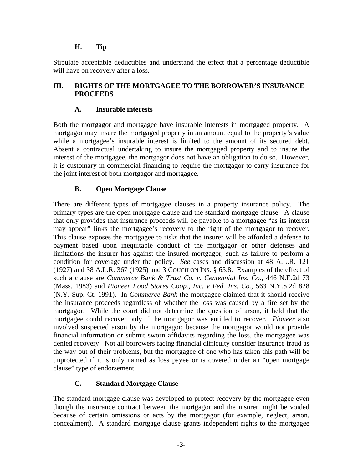### **H. Tip**

Stipulate acceptable deductibles and understand the effect that a percentage deductible will have on recovery after a loss.

### **III. RIGHTS OF THE MORTGAGEE TO THE BORROWER'S INSURANCE PROCEEDS**

### **A. Insurable interests**

Both the mortgagor and mortgagee have insurable interests in mortgaged property. A mortgagor may insure the mortgaged property in an amount equal to the property's value while a mortgagee's insurable interest is limited to the amount of its secured debt. Absent a contractual undertaking to insure the mortgaged property and to insure the interest of the mortgagee, the mortgagor does not have an obligation to do so. However, it is customary in commercial financing to require the mortgagor to carry insurance for the joint interest of both mortgagor and mortgagee.

# **B. Open Mortgage Clause**

There are different types of mortgagee clauses in a property insurance policy. The primary types are the open mortgage clause and the standard mortgage clause. A clause that only provides that insurance proceeds will be payable to a mortgagee "as its interest may appear" links the mortgagee's recovery to the right of the mortgagor to recover. This clause exposes the mortgagee to risks that the insurer will be afforded a defense to payment based upon inequitable conduct of the mortgagor or other defenses and limitations the insurer has against the insured mortgagor, such as failure to perform a condition for coverage under the policy. *See* cases and discussion at 48 A.L.R. 121 (1927) and 38 A.L.R. 367 (1925) and 3 COUCH ON INS. § 65.8. Examples of the effect of such a clause are *Commerce Bank & Trust Co. v. Centennial Ins. Co.*, 446 N.E.2d 73 (Mass. 1983) and *Pioneer Food Stores Coop., Inc. v Fed. Ins. Co.*, 563 N.Y.S.2d 828 (N.Y. Sup. Ct. 1991). In *Commerce Bank* the mortgagee claimed that it should receive the insurance proceeds regardless of whether the loss was caused by a fire set by the mortgagor. While the court did not determine the question of arson, it held that the mortgagee could recover only if the mortgagor was entitled to recover. *Pioneer* also involved suspected arson by the mortgagor; because the mortgagor would not provide financial information or submit sworn affidavits regarding the loss, the mortgagee was denied recovery. Not all borrowers facing financial difficulty consider insurance fraud as the way out of their problems, but the mortgagee of one who has taken this path will be unprotected if it is only named as loss payee or is covered under an "open mortgage clause" type of endorsement.

# **C. Standard Mortgage Clause**

The standard mortgage clause was developed to protect recovery by the mortgagee even though the insurance contract between the mortgagor and the insurer might be voided because of certain omissions or acts by the mortgagor (for example, neglect, arson, concealment). A standard mortgage clause grants independent rights to the mortgagee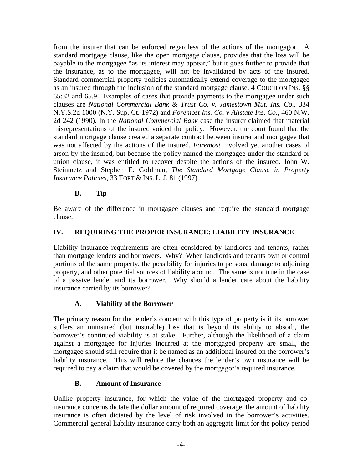from the insurer that can be enforced regardless of the actions of the mortgagor. A standard mortgage clause, like the open mortgage clause, provides that the loss will be payable to the mortgagee "as its interest may appear," but it goes further to provide that the insurance, as to the mortgagee, will not be invalidated by acts of the insured. Standard commercial property policies automatically extend coverage to the mortgagee as an insured through the inclusion of the standard mortgage clause. 4 COUCH ON INS. §§ 65:32 and 65.9. Examples of cases that provide payments to the mortgagee under such clauses are *National Commercial Bank & Trust Co. v. Jamestown Mut. Ins. Co.*, 334 N.Y.S.2d 1000 (N.Y. Sup. Ct. 1972) and *Foremost Ins. Co. v Allstate Ins. Co.*, 460 N.W. 2d 242 (1990). In the *National Commercial Bank* case the insurer claimed that material misrepresentations of the insured voided the policy. However, the court found that the standard mortgage clause created a separate contract between insurer and mortgagee that was not affected by the actions of the insured. *Foremost* involved yet another cases of arson by the insured, but because the policy named the mortgagee under the standard or union clause, it was entitled to recover despite the actions of the insured. John W. Steinmetz and Stephen E. Goldman, *The Standard Mortgage Clause in Property Insurance Policies*, 33 TORT & INS. L. J. 81 (1997).

### **D. Tip**

Be aware of the difference in mortgagee clauses and require the standard mortgage clause.

### **IV. REQUIRING THE PROPER INSURANCE: LIABILITY INSURANCE**

Liability insurance requirements are often considered by landlords and tenants, rather than mortgage lenders and borrowers. Why? When landlords and tenants own or control portions of the same property, the possibility for injuries to persons, damage to adjoining property, and other potential sources of liability abound. The same is not true in the case of a passive lender and its borrower. Why should a lender care about the liability insurance carried by its borrower?

### **A. Viability of the Borrower**

The primary reason for the lender's concern with this type of property is if its borrower suffers an uninsured (but insurable) loss that is beyond its ability to absorb, the borrower's continued viability is at stake. Further, although the likelihood of a claim against a mortgagee for injuries incurred at the mortgaged property are small, the mortgagee should still require that it be named as an additional insured on the borrower's liability insurance. This will reduce the chances the lender's own insurance will be required to pay a claim that would be covered by the mortgagor's required insurance.

### **B. Amount of Insurance**

Unlike property insurance, for which the value of the mortgaged property and coinsurance concerns dictate the dollar amount of required coverage, the amount of liability insurance is often dictated by the level of risk involved in the borrower's activities. Commercial general liability insurance carry both an aggregate limit for the policy period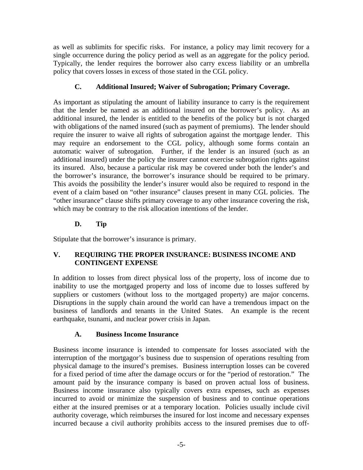as well as sublimits for specific risks. For instance, a policy may limit recovery for a single occurrence during the policy period as well as an aggregate for the policy period. Typically, the lender requires the borrower also carry excess liability or an umbrella policy that covers losses in excess of those stated in the CGL policy.

# **C. Additional Insured; Waiver of Subrogation; Primary Coverage.**

As important as stipulating the amount of liability insurance to carry is the requirement that the lender be named as an additional insured on the borrower's policy. As an additional insured, the lender is entitled to the benefits of the policy but is not charged with obligations of the named insured (such as payment of premiums). The lender should require the insurer to waive all rights of subrogation against the mortgage lender. This may require an endorsement to the CGL policy, although some forms contain an automatic waiver of subrogation. Further, if the lender is an insured (such as an additional insured) under the policy the insurer cannot exercise subrogation rights against its insured. Also, because a particular risk may be covered under both the lender's and the borrower's insurance, the borrower's insurance should be required to be primary. This avoids the possibility the lender's insurer would also be required to respond in the event of a claim based on "other insurance" clauses present in many CGL policies. The "other insurance" clause shifts primary coverage to any other insurance covering the risk, which may be contrary to the risk allocation intentions of the lender.

### **D. Tip**

Stipulate that the borrower's insurance is primary.

### **V. REQUIRING THE PROPER INSURANCE: BUSINESS INCOME AND CONTINGENT EXPENSE**

In addition to losses from direct physical loss of the property, loss of income due to inability to use the mortgaged property and loss of income due to losses suffered by suppliers or customers (without loss to the mortgaged property) are major concerns. Disruptions in the supply chain around the world can have a tremendous impact on the business of landlords and tenants in the United States. An example is the recent earthquake, tsunami, and nuclear power crisis in Japan.

### **A. Business Income Insurance**

Business income insurance is intended to compensate for losses associated with the interruption of the mortgagor's business due to suspension of operations resulting from physical damage to the insured's premises. Business interruption losses can be covered for a fixed period of time after the damage occurs or for the "period of restoration." The amount paid by the insurance company is based on proven actual loss of business. Business income insurance also typically covers extra expenses, such as expenses incurred to avoid or minimize the suspension of business and to continue operations either at the insured premises or at a temporary location. Policies usually include civil authority coverage, which reimburses the insured for lost income and necessary expenses incurred because a civil authority prohibits access to the insured premises due to off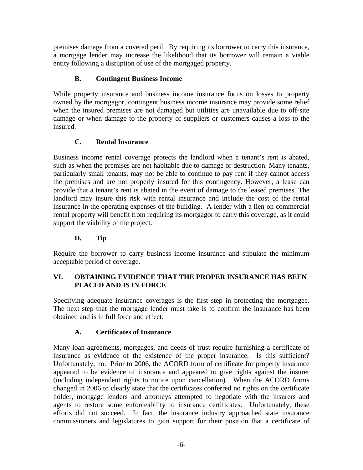premises damage from a covered peril. By requiring its borrower to carry this insurance, a mortgage lender may increase the likelihood that its borrower will remain a viable entity following a disruption of use of the mortgaged property.

# **B. Contingent Business Income**

While property insurance and business income insurance focus on losses to property owned by the mortgagor, contingent business income insurance may provide some relief when the insured premises are not damaged but utilities are unavailable due to off-site damage or when damage to the property of suppliers or customers causes a loss to the insured.

# **C. Rental Insurance**

Business income rental coverage protects the landlord when a tenant's rent is abated, such as when the premises are not habitable due to damage or destruction. Many tenants, particularly small tenants, may not be able to continue to pay rent if they cannot access the premises and are not properly insured for this contingency. However, a lease can provide that a tenant's rent is abated in the event of damage to the leased premises. The landlord may insure this risk with rental insurance and include the cost of the rental insurance in the operating expenses of the building. A lender with a lien on commercial rental property will benefit from requiring its mortgagor to carry this coverage, as it could support the viability of the project.

# **D. Tip**

Require the borrower to carry business income insurance and stipulate the minimum acceptable period of coverage.

### **VI. OBTAINING EVIDENCE THAT THE PROPER INSURANCE HAS BEEN PLACED AND IS IN FORCE**

Specifying adequate insurance coverages is the first step in protecting the mortgagee. The next step that the mortgage lender must take is to confirm the insurance has been obtained and is in full force and effect.

# **A. Certificates of Insurance**

Many loan agreements, mortgages, and deeds of trust require furnishing a certificate of insurance as evidence of the existence of the proper insurance. Is this sufficient? Unfortunately, no. Prior to 2006, the ACORD form of certificate for property insurance appeared to be evidence of insurance and appeared to give rights against the insurer (including independent rights to notice upon cancellation). When the ACORD forms changed in 2006 to clearly state that the certificates conferred no rights on the certificate holder, mortgage lenders and attorneys attempted to negotiate with the insurers and agents to restore some enforceability to insurance certificates. Unfortunately, these efforts did not succeed. In fact, the insurance industry approached state insurance commissioners and legislatures to gain support for their position that a certificate of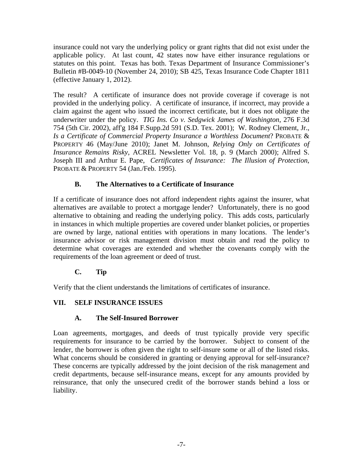insurance could not vary the underlying policy or grant rights that did not exist under the applicable policy. At last count, 42 states now have either insurance regulations or statutes on this point. Texas has both. Texas Department of Insurance Commissioner's Bulletin #B-0049-10 (November 24, 2010); SB 425, Texas Insurance Code Chapter 1811 (effective January 1, 2012).

The result? A certificate of insurance does not provide coverage if coverage is not provided in the underlying policy. A certificate of insurance, if incorrect, may provide a claim against the agent who issued the incorrect certificate, but it does not obligate the underwriter under the policy. *TIG Ins. Co v. Sedgwick James of Washington*, 276 F.3d 754 (5th Cir. 2002), aff'g 184 F.Supp.2d 591 (S.D. Tex. 2001); W. Rodney Clement, Jr., *Is a Certificate of Commercial Property Insurance a Worthless Document*? PROBATE & PROPERTY 46 (May/June 2010); Janet M. Johnson, *Relying Only on Certificates of Insurance Remains Risky*, ACREL Newsletter Vol. 18, p. 9 (March 2000); Alfred S. Joseph III and Arthur E. Pape, *Certificates of Insurance: The Illusion of Protection*, PROBATE & PROPERTY 54 (Jan./Feb. 1995).

# **B. The Alternatives to a Certificate of Insurance**

If a certificate of insurance does not afford independent rights against the insurer, what alternatives are available to protect a mortgage lender? Unfortunately, there is no good alternative to obtaining and reading the underlying policy. This adds costs, particularly in instances in which multiple properties are covered under blanket policies, or properties are owned by large, national entities with operations in many locations. The lender's insurance advisor or risk management division must obtain and read the policy to determine what coverages are extended and whether the covenants comply with the requirements of the loan agreement or deed of trust.

# **C. Tip**

Verify that the client understands the limitations of certificates of insurance.

# **VII. SELF INSURANCE ISSUES**

# **A. The Self-Insured Borrower**

Loan agreements, mortgages, and deeds of trust typically provide very specific requirements for insurance to be carried by the borrower. Subject to consent of the lender, the borrower is often given the right to self-insure some or all of the listed risks. What concerns should be considered in granting or denying approval for self-insurance? These concerns are typically addressed by the joint decision of the risk management and credit departments, because self-insurance means, except for any amounts provided by reinsurance, that only the unsecured credit of the borrower stands behind a loss or liability.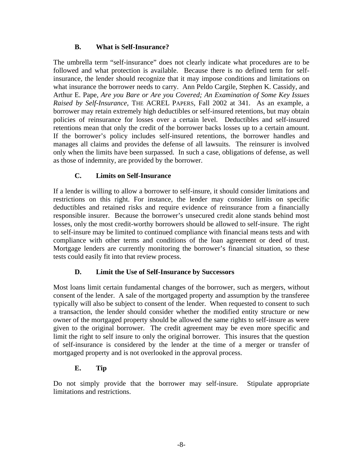### **B. What is Self-Insurance?**

The umbrella term "self-insurance" does not clearly indicate what procedures are to be followed and what protection is available. Because there is no defined term for selfinsurance, the lender should recognize that it may impose conditions and limitations on what insurance the borrower needs to carry. Ann Peldo Cargile, Stephen K. Cassidy, and Arthur E. Pape, *Are you Bare or Are you Covered; An Examination of Some Key Issues Raised by Self-Insurance*, THE ACREL PAPERS, Fall 2002 at 341. As an example, a borrower may retain extremely high deductibles or self-insured retentions, but may obtain policies of reinsurance for losses over a certain level. Deductibles and self-insured retentions mean that only the credit of the borrower backs losses up to a certain amount. If the borrower's policy includes self-insured retentions, the borrower handles and manages all claims and provides the defense of all lawsuits. The reinsurer is involved only when the limits have been surpassed. In such a case, obligations of defense, as well as those of indemnity, are provided by the borrower.

### **C. Limits on Self-Insurance**

If a lender is willing to allow a borrower to self-insure, it should consider limitations and restrictions on this right. For instance, the lender may consider limits on specific deductibles and retained risks and require evidence of reinsurance from a financially responsible insurer. Because the borrower's unsecured credit alone stands behind most losses, only the most credit-worthy borrowers should be allowed to self-insure. The right to self-insure may be limited to continued compliance with financial means tests and with compliance with other terms and conditions of the loan agreement or deed of trust. Mortgage lenders are currently monitoring the borrower's financial situation, so these tests could easily fit into that review process.

### **D. Limit the Use of Self-Insurance by Successors**

Most loans limit certain fundamental changes of the borrower, such as mergers, without consent of the lender. A sale of the mortgaged property and assumption by the transferee typically will also be subject to consent of the lender. When requested to consent to such a transaction, the lender should consider whether the modified entity structure or new owner of the mortgaged property should be allowed the same rights to self-insure as were given to the original borrower. The credit agreement may be even more specific and limit the right to self insure to only the original borrower. This insures that the question of self-insurance is considered by the lender at the time of a merger or transfer of mortgaged property and is not overlooked in the approval process.

# **E. Tip**

Do not simply provide that the borrower may self-insure. Stipulate appropriate limitations and restrictions.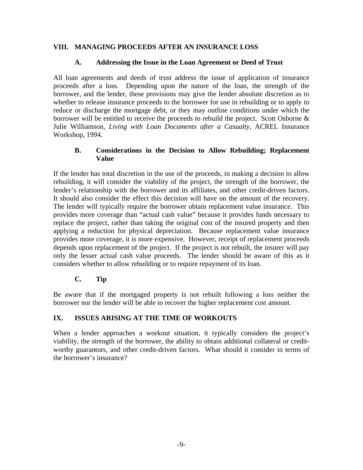### **VIII. MANAGING PROCEEDS AFTER AN INSURANCE LOSS**

#### **A. Addressing the Issue in the Loan Agreement or Deed of Trust**

All loan agreements and deeds of trust address the issue of application of insurance proceeds after a loss. Depending upon the nature of the loan, the strength of the borrower, and the lender, these provisions may give the lender absolute discretion as to whether to release insurance proceeds to the borrower for use in rebuilding or to apply to reduce or discharge the mortgage debt, or they may outline conditions under which the borrower will be entitled to receive the proceeds to rebuild the project. Scott Osborne & Julie Williamson, *Living with Loan Documents after a Casualty*, ACREL Insurance Workshop, 1994.

#### **B. Considerations in the Decision to Allow Rebuilding; Replacement Value**

If the lender has total discretion in the use of the proceeds, in making a decision to allow rebuilding, it will consider the viability of the project, the strength of the borrower, the lender's relationship with the borrower and its affiliates, and other credit-driven factors. It should also consider the effect this decision will have on the amount of the recovery. The lender will typically require the borrower obtain replacement value insurance. This provides more coverage than "actual cash value" because it provides funds necessary to replace the project, rather than taking the original cost of the insured property and then applying a reduction for physical depreciation. Because replacement value insurance provides more coverage, it is more expensive. However, receipt of replacement proceeds depends upon replacement of the project. If the project is not rebuilt, the insurer will pay only the lesser actual cash value proceeds. The lender should be aware of this as it considers whether to allow rebuilding or to require repayment of its loan.

### **C. Tip**

Be aware that if the mortgaged property is not rebuilt following a loss neither the borrower nor the lender will be able to recover the higher replacement cost amount.

### **IX. ISSUES ARISING AT THE TIME OF WORKOUTS**

When a lender approaches a workout situation, it typically considers the project's viability, the strength of the borrower, the ability to obtain additional collateral or creditworthy guarantors, and other credit-driven factors. What should it consider in terms of the borrower's insurance?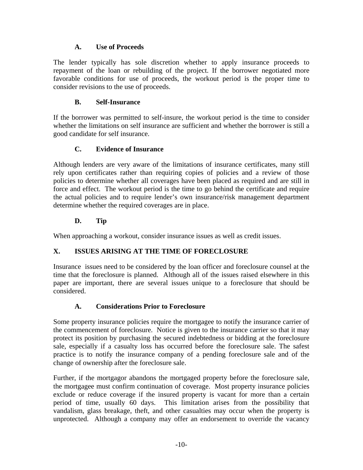### **A. Use of Proceeds**

The lender typically has sole discretion whether to apply insurance proceeds to repayment of the loan or rebuilding of the project. If the borrower negotiated more favorable conditions for use of proceeds, the workout period is the proper time to consider revisions to the use of proceeds.

# **B. Self-Insurance**

If the borrower was permitted to self-insure, the workout period is the time to consider whether the limitations on self insurance are sufficient and whether the borrower is still a good candidate for self insurance.

# **C. Evidence of Insurance**

Although lenders are very aware of the limitations of insurance certificates, many still rely upon certificates rather than requiring copies of policies and a review of those policies to determine whether all coverages have been placed as required and are still in force and effect. The workout period is the time to go behind the certificate and require the actual policies and to require lender's own insurance/risk management department determine whether the required coverages are in place.

# **D. Tip**

When approaching a workout, consider insurance issues as well as credit issues.

# **X. ISSUES ARISING AT THE TIME OF FORECLOSURE**

Insurance issues need to be considered by the loan officer and foreclosure counsel at the time that the foreclosure is planned. Although all of the issues raised elsewhere in this paper are important, there are several issues unique to a foreclosure that should be considered.

# **A. Considerations Prior to Foreclosure**

Some property insurance policies require the mortgagee to notify the insurance carrier of the commencement of foreclosure. Notice is given to the insurance carrier so that it may protect its position by purchasing the secured indebtedness or bidding at the foreclosure sale, especially if a casualty loss has occurred before the foreclosure sale. The safest practice is to notify the insurance company of a pending foreclosure sale and of the change of ownership after the foreclosure sale.

Further, if the mortgagor abandons the mortgaged property before the foreclosure sale, the mortgagee must confirm continuation of coverage. Most property insurance policies exclude or reduce coverage if the insured property is vacant for more than a certain period of time, usually 60 days. This limitation arises from the possibility that vandalism, glass breakage, theft, and other casualties may occur when the property is unprotected. Although a company may offer an endorsement to override the vacancy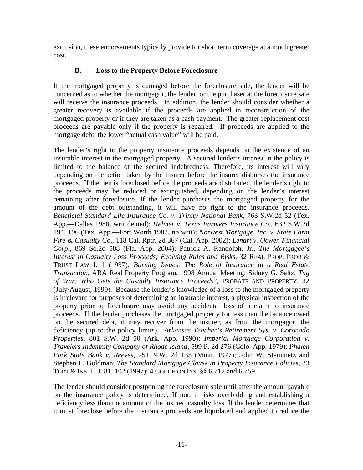exclusion, these endorsements typically provide for short term coverage at a much greater cost.

# **B. Loss to the Property Before Foreclosure**

If the mortgaged property is damaged before the foreclosure sale, the lender will be concerned as to whether the mortgagor, the lender, or the purchaser at the foreclosure sale will receive the insurance proceeds. In addition, the lender should consider whether a greater recovery is available if the proceeds are applied in reconstruction of the mortgaged property or if they are taken as a cash payment. The greater replacement cost proceeds are payable only if the property is repaired. If proceeds are applied to the mortgage debt, the lower "actual cash value" will be paid.

The lender's right to the property insurance proceeds depends on the existence of an insurable interest in the mortgaged property. A secured lender's interest in the policy is limited to the balance of the secured indebtedness. Therefore, its interest will vary depending on the action taken by the insurer before the insurer disburses the insurance proceeds. If the lien is foreclosed before the proceeds are distributed, the lender's right to the proceeds may be reduced or extinguished, depending on the lender's interest remaining after foreclosure. If the lender purchases the mortgaged property for the amount of the debt outstanding, it will have no right to the insurance proceeds. *Beneficial Standard Life Insurance Co. v. Trinity National Bank*, 763 S.W.2d 52 (Tex. App.—Dallas 1988, writ denied); *Helmer v. Texas Farmers Insurance Co*., 632 S.W.2d 194, 196 (Tex. App.—Fort Worth 1982, no writ); *Norwest Mortgage, Inc. v. State Farm Fire & Casualty Co*., 118 Cal. Rptr. 2d 367 (Cal. App. 2002); *Lenart v. Ocwen Financial Corp*., 869 So.2d 588 (Fla. App. 2004); Patrick A. Randolph, Jr., *The Mortgagee's Interest in Casualty Loss Proceeds; Evolving Rules and Risks*, 32 REAL PROP. PROB & TRUST LAW J. 1 (1997); *Burning Issues: The Role of Insurance in a Real Estate Transaction*, ABA Real Property Program, 1998 Annual Meeting; Sidney G. Saltz, *Tug of War: Who Gets the Casualty Insurance Proceeds*?, PROBATE AND PROPERTY, 32 (July/August, 1999). Because the lender's knowledge of a loss to the mortgaged property is irrelevant for purposes of determining an insurable interest, a physical inspection of the property prior to foreclosure may avoid any accidental loss of a claim to insurance proceeds. If the lender purchases the mortgaged property for less than the balance owed on the secured debt, it may recover from the insurer, as from the mortgagor, the deficiency (up to the policy limits). *Arkansas Teacher's Retirement Sys. v. Coronado Properties*, 801 S.W. 2d 50 (Ark. App. 1990); *Imperial Mortgage Corporation v. Travelers Indemnity Company of Rhode Island*, 599 P. 2d 276 (Colo. App. 1979); *Phalen Park State Bank v. Reeves*, 251 N.W. 2d 135 (Minn. 1977); John W. Steinmetz and Stephen E. Goldman, *The Standard Mortgage Clause in Property Insurance Policies*, 33 TORT & INS. L. J. 81, 102 (1997); 4 COUCH ON INS. §§ 65:12 and 65:59.

The lender should consider postponing the foreclosure sale until after the amount payable on the insurance policy is determined. If not, it risks overbidding and establishing a deficiency less than the amount of the insured casualty loss. If the lender determines that it must foreclose before the insurance proceeds are liquidated and applied to reduce the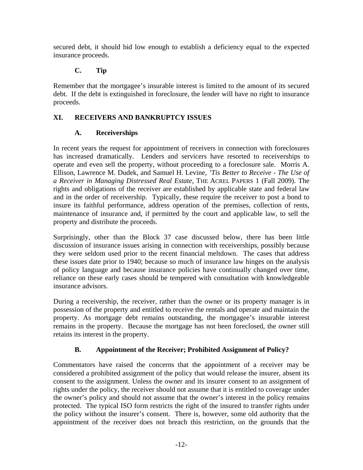secured debt, it should bid low enough to establish a deficiency equal to the expected insurance proceeds.

# **C. Tip**

Remember that the mortgagee's insurable interest is limited to the amount of its secured debt. If the debt is extinguished in foreclosure, the lender will have no right to insurance proceeds.

# **XI. RECEIVERS AND BANKRUPTCY ISSUES**

# **A. Receiverships**

In recent years the request for appointment of receivers in connection with foreclosures has increased dramatically. Lenders and servicers have resorted to receiverships to operate and even sell the property, without proceeding to a foreclosure sale. Morris A. Ellison, Lawrence M. Dudek, and Samuel H. Levine, *'Tis Better to Receive - The Use of a Receiver in Managing Distressed Real Estate*, THE ACREL PAPERS 1 (Fall 2009). The rights and obligations of the receiver are established by applicable state and federal law and in the order of receivership. Typically, these require the receiver to post a bond to insure its faithful performance, address operation of the premises, collection of rents, maintenance of insurance and, if permitted by the court and applicable law, to sell the property and distribute the proceeds.

Surprisingly, other than the Block 37 case discussed below, there has been little discussion of insurance issues arising in connection with receiverships, possibly because they were seldom used prior to the recent financial meltdown. The cases that address these issues date prior to 1940; because so much of insurance law hinges on the analysis of policy language and because insurance policies have continually changed over time, reliance on these early cases should be tempered with consultation with knowledgeable insurance advisors.

During a receivership, the receiver, rather than the owner or its property manager is in possession of the property and entitled to receive the rentals and operate and maintain the property. As mortgage debt remains outstanding, the mortgagee's insurable interest remains in the property. Because the mortgage has not been foreclosed, the owner still retains its interest in the property.

# **B. Appointment of the Receiver; Prohibited Assignment of Policy?**

Commentators have raised the concerns that the appointment of a receiver may be considered a prohibited assignment of the policy that would release the insurer, absent its consent to the assignment. Unless the owner and its insurer consent to an assignment of rights under the policy, the receiver should not assume that it is entitled to coverage under the owner's policy and should not assume that the owner's interest in the policy remains protected. The typical ISO form restricts the right of the insured to transfer rights under the policy without the insurer's consent. There is, however, some old authority that the appointment of the receiver does not breach this restriction, on the grounds that the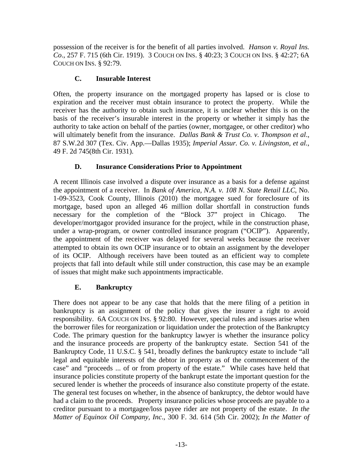possession of the receiver is for the benefit of all parties involved. *Hanson v. Royal Ins. Co*., 257 F. 715 (6th Cir. 1919). 3 COUCH ON INS. § 40:23; 3 COUCH ON INS. § 42:27; 6A COUCH ON INS. § 92:79.

### **C. Insurable Interest**

Often, the property insurance on the mortgaged property has lapsed or is close to expiration and the receiver must obtain insurance to protect the property. While the receiver has the authority to obtain such insurance, it is unclear whether this is on the basis of the receiver's insurable interest in the property or whether it simply has the authority to take action on behalf of the parties (owner, mortgagee, or other creditor) who will ultimately benefit from the insurance. *Dallas Bank & Trust Co. v. Thompson et al*., 87 S.W.2d 307 (Tex. Civ. App.—Dallas 1935); *Imperial Assur. Co. v. Livingston, et al.*, 49 F. 2d 745(8th Cir. 1931).

### **D. Insurance Considerations Prior to Appointment**

A recent Illinois case involved a dispute over insurance as a basis for a defense against the appointment of a receiver. In *Bank of America, N.A. v. 108 N. State Retail LLC*, No. 1-09-3523, Cook County, Illinois (2010) the mortgagee sued for foreclosure of its mortgage, based upon an alleged 46 million dollar shortfall in construction funds necessary for the completion of the "Block 37" project in Chicago. The developer/mortgagor provided insurance for the project, while in the construction phase, under a wrap-program, or owner controlled insurance program ("OCIP"). Apparently, the appointment of the receiver was delayed for several weeks because the receiver attempted to obtain its own OCIP insurance or to obtain an assignment by the developer of its OCIP. Although receivers have been touted as an efficient way to complete projects that fall into default while still under construction, this case may be an example of issues that might make such appointments impracticable.

# **E. Bankruptcy**

There does not appear to be any case that holds that the mere filing of a petition in bankruptcy is an assignment of the policy that gives the insurer a right to avoid responsibility. 6A COUCH ON INS. § 92:80. However, special rules and issues arise when the borrower files for reorganization or liquidation under the protection of the Bankruptcy Code. The primary question for the bankruptcy lawyer is whether the insurance policy and the insurance proceeds are property of the bankruptcy estate. Section 541 of the Bankruptcy Code, 11 U.S.C. § 541, broadly defines the bankruptcy estate to include "all legal and equitable interests of the debtor in property as of the commencement of the case" and "proceeds ... of or from property of the estate." While cases have held that insurance policies constitute property of the bankrupt estate the important question for the secured lender is whether the proceeds of insurance also constitute property of the estate. The general test focuses on whether, in the absence of bankruptcy, the debtor would have had a claim to the proceeds. Property insurance policies whose proceeds are payable to a creditor pursuant to a mortgagee/loss payee rider are not property of the estate. *In the Matter of Equinox Oil Company, Inc*., 300 F. 3d. 614 (5th Cir. 2002); *In the Matter of*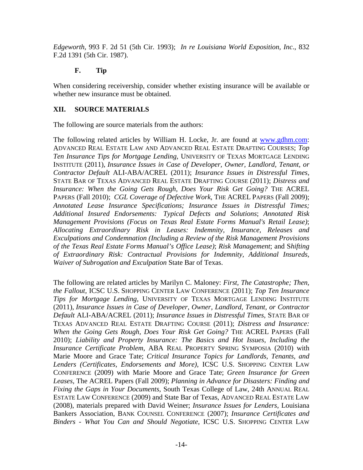*Edgeworth*, 993 F. 2d 51 (5th Cir. 1993); *In re Louisiana World Exposition, Inc*., 832 F.2d 1391 (5th Cir. 1987).

### **F. Tip**

When considering receivership, consider whether existing insurance will be available or whether new insurance must be obtained.

### **XII. SOURCE MATERIALS**

The following are source materials from the authors:

The following related articles by William H. Locke, Jr. are found at www.gdhm.com: ADVANCED REAL ESTATE LAW AND ADVANCED REAL ESTATE DRAFTING COURSES; *Top Ten Insurance Tips for Mortgage Lending,* UNIVERSITY OF TEXAS MORTGAGE LENDING INSTITUTE (2011), *Insurance Issues in Case of Developer, Owner, Landlord, Tenant, or Contractor Default* ALI-ABA/ACREL (2011); *Insurance Issues in Distressful Times,*  STATE BAR OF TEXAS ADVANCED REAL ESTATE DRAFTING COURSE (2011); *Distress and Insurance: When the Going Gets Rough, Does Your Risk Get Going?* THE ACREL PAPERS (Fall 2010); *CGL Coverage of Defective Work*, THE ACREL PAPERS (Fall 2009); *Annotated Lease Insurance Specifications; Insurance Issues in Distressful Times; Additional Insured Endorsements: Typical Defects and Solutions*; *Annotated Risk Management Provisions (Focus on Texas Real Estate Forms Manual's Retail Lease)*; *Allocating Extraordinary Risk in Leases: Indemnity, Insurance, Releases and Exculpations and Condemnation (Including a Review of the Risk Management Provisions of the Texas Real Estate Forms Manual's Office Lease)*; *Risk Management*; and S*hifting of Extraordinary Risk: Contractual Provisions for Indemnity, Additional Insureds, Waiver of Subrogation and Exculpation* State Bar of Texas.

The following are related articles by Marilyn C. Maloney: *First, The Catastrophe; Then, the Fallout,* ICSC U.S. SHOPPING CENTER LAW CONFERENCE (2011); *Top Ten Insurance Tips for Mortgage Lending,* UNIVERSITY OF TEXAS MORTGAGE LENDING INSTITUTE (2011), *Insurance Issues in Case of Developer, Owner, Landlord, Tenant, or Contractor Default* ALI-ABA/ACREL (2011); *Insurance Issues in Distressful Times,* STATE BAR OF TEXAS ADVANCED REAL ESTATE DRAFTING COURSE (2011); *Distress and Insurance: When the Going Gets Rough, Does Your Risk Get Going?* THE ACREL PAPERS (Fall 2010); *Liability and Property Insurance: The Basics and Hot Issues, Including the Insurance Certificate Problem*, ABA REAL PROPERTY SPRING SYMPOSIA (2010) with Marie Moore and Grace Tate; *Critical Insurance Topics for Landlords, Tenants, and Lenders (Certificates, Endorsements and More)*, ICSC U.S. SHOPPING CENTER LAW CONFERENCE (2009) with Marie Moore and Grace Tate; *Green Insurance for Green Leases,* The ACREL Papers (Fall 2009); *Planning in Advance for Disasters: Finding and Fixing the Gaps in Your Documents*, South Texas College of Law, 24th ANNUAL REAL ESTATE LAW CONFERENCE (2009) and State Bar of Texas, ADVANCED REAL ESTATE LAW (2008), materials prepared with David Weiner; *Insurance Issues for Lenders*, Louisiana Bankers Association, BANK COUNSEL CONFERENCE (2007); *Insurance Certificates and Binders - What You Can and Should Negotiate*, ICSC U.S. SHOPPING CENTER LAW